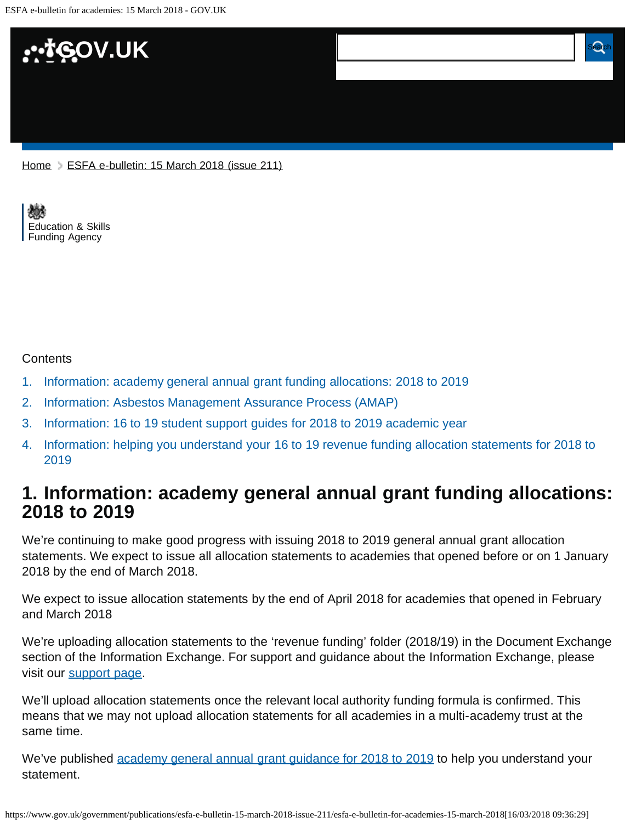

[Education & Skills](https://www.gov.uk/government/organisations/education-and-skills-funding-agency)  [Funding Agency](https://www.gov.uk/government/organisations/education-and-skills-funding-agency)

#### **Contents**

- [1.](#page-0-0) [Information: academy general annual grant funding allocations: 2018 to 2019](#page-0-0)
- [2.](#page-1-0) [Information: Asbestos Management Assurance Process \(AMAP\)](#page-1-0)
- [3.](#page-1-1) [Information: 16 to 19 student support guides for 2018 to 2019 academic year](#page-1-1)
- [4.](#page-1-2) [Information: helping you understand your 16 to 19 revenue funding allocation statements for 2018 to](#page-1-2) [2019](#page-1-2)

### <span id="page-0-0"></span>**1. Information: academy general annual grant funding allocations: 2018 to 2019**

We're continuing to make good progress with issuing 2018 to 2019 general annual grant allocation statements. We expect to issue all allocation statements to academies that opened before or on 1 January 2018 by the end of March 2018.

We expect to issue allocation statements by the end of April 2018 for academies that opened in February and March 2018

We're uploading allocation statements to the 'revenue funding' folder (2018/19) in the Document Exchange section of the Information Exchange. For support and guidance about the Information Exchange, please visit our [support page.](https://www.gov.uk/government/publications/efa-information-exchange/efa-information-exchange-request-support)

We'll upload allocation statements once the relevant local authority funding formula is confirmed. This means that we may not upload allocation statements for all academies in a multi-academy trust at the same time.

We've published [academy general annual grant guidance for 2018 to 2019](https://www.gov.uk/guidance/academies-general-annual-grant-allocation-guides-2018-to-2019) to help you understand your statement.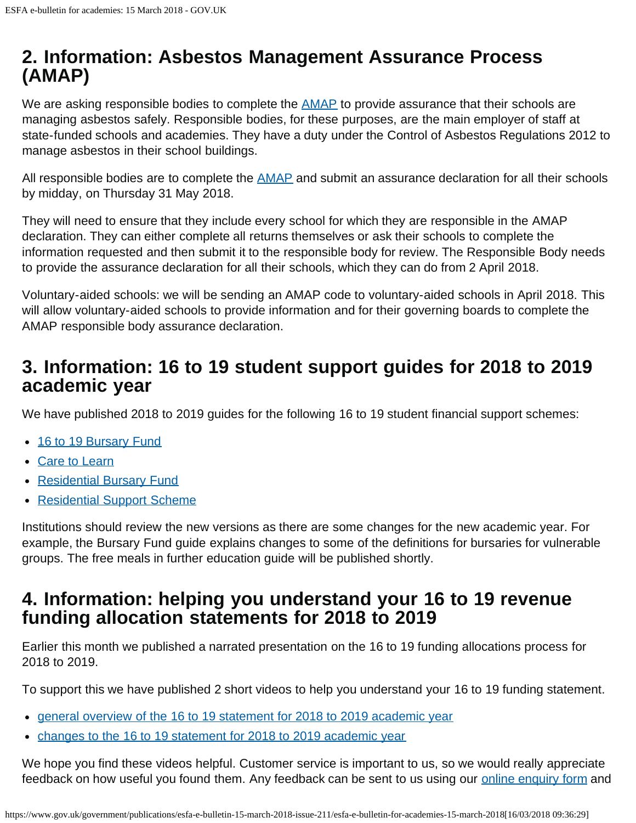# <span id="page-1-0"></span>**2. Information: Asbestos Management Assurance Process (AMAP)**

We are asking responsible bodies to complete the **AMAP** to provide assurance that their schools are managing asbestos safely. Responsible bodies, for these purposes, are the main employer of staff at state-funded schools and academies. They have a duty under the Control of Asbestos Regulations 2012 to manage asbestos in their school buildings.

All responsible bodies are to complete the **AMAP** and submit an assurance declaration for all their schools by midday, on Thursday 31 May 2018.

They will need to ensure that they include every school for which they are responsible in the AMAP declaration. They can either complete all returns themselves or ask their schools to complete the information requested and then submit it to the responsible body for review. The Responsible Body needs to provide the assurance declaration for all their schools, which they can do from 2 April 2018.

Voluntary-aided schools: we will be sending an AMAP code to voluntary-aided schools in April 2018. This will allow voluntary-aided schools to provide information and for their governing boards to complete the AMAP responsible body assurance declaration.

# <span id="page-1-1"></span>**3. Information: 16 to 19 student support guides for 2018 to 2019 academic year**

We have published 2018 to 2019 guides for the following 16 to 19 student financial support schemes:

- [16 to 19 Bursary Fund](https://www.gov.uk/guidance/16-to-19-bursary-fund-guide-2018-to-2019-academic-year)
- [Care to Learn](https://www.gov.uk/guidance/care-to-learn-guide-for-institutions-academic-year-2018-to-2019)
- [Residential Bursary Fund](https://www.gov.uk/guidance/16-to-18-residential-bursary-fund-guide-2018-to-2019-academic-year)
- [Residential Support Scheme](https://www.gov.uk/guidance/16-to-18-residential-support-scheme-for-academic-year-2018-to-2019)

Institutions should review the new versions as there are some changes for the new academic year. For example, the Bursary Fund guide explains changes to some of the definitions for bursaries for vulnerable groups. The free meals in further education guide will be published shortly.

# <span id="page-1-2"></span>**4. Information: helping you understand your 16 to 19 revenue funding allocation statements for 2018 to 2019**

Earlier this month we published a narrated presentation on the 16 to 19 funding allocations process for 2018 to 2019.

To support this we have published 2 short videos to help you understand your 16 to 19 funding statement.

- [general overview of the 16 to 19 statement for 2018 to 2019 academic year](http://bit.ly/2oYbuGH)
- [changes to the 16 to 19 statement for 2018 to 2019 academic year](http://bit.ly/2FoXOM3)

We hope you find these videos helpful. Customer service is important to us, so we would really appreciate feedback on how useful you found them. Any feedback can be sent to us using our [online enquiry form](https://form.education.gov.uk/fillform.php?self=1&form_id=HR41uA2F8Dh&type=form&ShowMsg=1&form_name=Knowledge+centre+enquiry+form&noRegister=false&ret=%2Fmodule%2Fservices&noLoginPrompt=1) and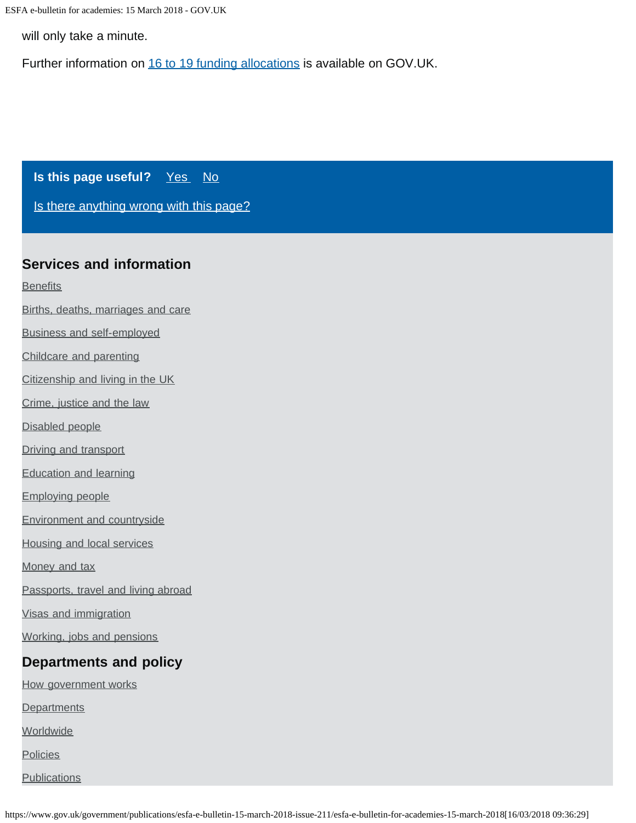ESFA e-bulletin for academies: 15 March 2018 - GOV.UK

will only take a minute.

Further information on [16 to 19 funding allocations](https://www.gov.uk/guidance/16-to-19-education-funding-allocations#to-19-allocations-process-2018-to-2019-academic-year) is available on GOV.UK.

**Is this page useful?** [Yes No](https://www.gov.uk/contact/govuk)

[Is there anything wrong with this page?](https://www.gov.uk/contact/govuk)

#### **Services and information**

**[Benefits](https://www.gov.uk/browse/benefits)** 

- [Births, deaths, marriages and care](https://www.gov.uk/browse/births-deaths-marriages)
- [Business and self-employed](https://www.gov.uk/browse/business)
- [Childcare and parenting](https://www.gov.uk/browse/childcare-parenting)
- [Citizenship and living in the UK](https://www.gov.uk/browse/citizenship)
- [Crime, justice and the law](https://www.gov.uk/browse/justice)
- [Disabled people](https://www.gov.uk/browse/disabilities)
- [Driving and transport](https://www.gov.uk/browse/driving)
- [Education and learning](https://www.gov.uk/browse/education)
- [Employing people](https://www.gov.uk/browse/employing-people)
- [Environment and countryside](https://www.gov.uk/browse/environment-countryside)
- [Housing and local services](https://www.gov.uk/browse/housing-local-services)
- [Money and tax](https://www.gov.uk/browse/tax)
- [Passports, travel and living abroad](https://www.gov.uk/browse/abroad)
- [Visas and immigration](https://www.gov.uk/browse/visas-immigration)
- [Working, jobs and pensions](https://www.gov.uk/browse/working)

## **Departments and policy**

- [How government works](https://www.gov.uk/government/how-government-works)
- **[Departments](https://www.gov.uk/government/organisations)**
- **[Worldwide](https://www.gov.uk/world)**
- **[Policies](https://www.gov.uk/government/policies)**
- **[Publications](https://www.gov.uk/government/publications)**